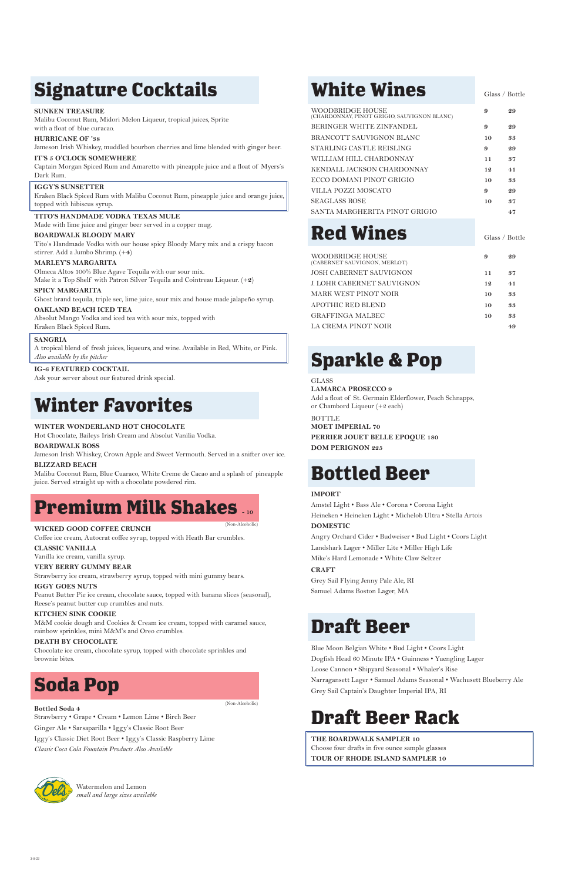# **Signature Cocktails**

### **SUNKEN TREASURE**

Malibu Coconut Rum, Midori Melon Liqueur, tropical juices, Sprite with a float of blue curacao.

### **HURRICANE OF '38**

Jameson Irish Whiskey, muddled bourbon cherries and lime blended with ginger beer.

### **IT'S 5 O'CLOCK SOMEWHERE**

Captain Morgan Spiced Rum and Amaretto with pineapple juice and a float of Myers's Dark Rum.

### **IGGY'S SUNSETTER**

Kraken Black Spiced Rum with Malibu Coconut Rum, pineapple juice and orange juice, topped with hibiscus syrup.

### **TITO'S HANDMADE VODKA TEXAS MULE**

Made with lime juice and ginger beer served in a copper mug.

### **BOARDWALK BLOODY MARY**

Tito's Handmade Vodka with our house spicy Bloody Mary mix and a crispy bacon stirrer. Add a Jumbo Shrimp. (+**4**)

### **MARLEY'S MARGARITA**

Olmeca Altos 100% Blue Agave Tequila with our sour mix. Make it a Top Shelf with Patron Silver Tequila and Cointreau Liqueur. (+**2**)

### **SPICY MARGARITA**

Ghost brand tequila, triple sec, lime juice, sour mix and house made jalapeño syrup.

### **OAKLAND BEACH ICED TEA**

Absolut Mango Vodka and iced tea with sour mix, topped with Kraken Black Spiced Rum.

### **SANGRIA**

A tropical blend of fresh juices, liqueurs, and wine. Available in Red, White, or Pink. *Also available by the pitcher*

### **IG-6 FEATURED COCKTAIL**

Ask your server about our featured drink special.

# **Winter Favorites**

### **WINTER WONDERLAND HOT CHOCOLATE**

Hot Chocolate, Baileys Irish Cream and Absolut Vanilia Vodka.

### **BOARDWALK BOSS**

Jameson Irish Whiskey, Crown Apple and Sweet Vermouth. Served in a snifter over ice. **BLIZZARD BEACH** 

Malibu Coconut Rum, Blue Cuaraco, White Creme de Cacao and a splash of pineapple juice. Served straight up with a chocolate powdered rim.

# **Premium Milk Shakes**

### **WICKED GOOD COFFEE CRUNCH**

**BOTTLE MOET IMPERIAL 70 PERRIER JOUET BELLE EPOQUE 180 DOM PERIGNON 225**

Coffee ice cream, Autocrat coffee syrup, topped with Heath Bar crumbles.

### **CLASSIC VANILLA**

Vanilla ice cream, vanilla syrup.

### **VERY BERRY GUMMY BEAR**

Strawberry ice cream, strawberry syrup, topped with mini gummy bears.

### **IGGY GOES NUTS**

Peanut Butter Pie ice cream, chocolate sauce, topped with banana slices (seasonal), Reese's peanut butter cup crumbles and nuts.

### **KITCHEN SINK COOKIE**

M&M cookie dough and Cookies & Cream ice cream, topped with caramel sauce, rainbow sprinkles, mini M&M's and Oreo crumbles.

# **White Wines Glass / Bottle**

#### **DEATH BY CHOCOLATE**

Chocolate ice cream, chocolate syrup, topped with chocolate sprinkles and brownie bites.

# **Soda Pop**

**Bottled Soda 4**

Strawberry • Grape • Cream • Lemon Lime • Birch Beer Ginger Ale • Sarsaparilla • Iggy's Classic Root Beer Iggy's Classic Diet Root Beer • Iggy's Classic Raspberry Lime *Classic Coca Cola Fountain Products Also Available*



| WOODBRIDGE HOUSE<br>(CHARDONNAY, PINOT GRIGIO, SAUVIGNON BLANC) | 9  | 29 |
|-----------------------------------------------------------------|----|----|
| BERINGER WHITE ZINFANDEL                                        | 9  | 29 |
| BRANCOTT SAUVIGNON BLANC                                        | 10 | 33 |
| STARLING CASTLE REISLING                                        | 9  | 29 |
| WILLIAM HILL CHARDONNAY                                         | 11 | 37 |
| KENDALL JACKSON CHARDONNAY                                      | 12 | 41 |
| ECCO DOMANI PINOT GRIGIO                                        | 10 | 33 |
| VILLA POZZI MOSCATO                                             | 9  | 29 |
| <b>SEAGLASS ROSE</b>                                            | 10 | 37 |
| SANTA MARGHERITA PINOT GRIGIO                                   |    | 47 |

# **Red Wines Glass / Bottle**

| WOODBRIDGE HOUSE<br>(CABERNET SAUVIGNON, MERLOT) | 9  | 29 |
|--------------------------------------------------|----|----|
| JOSH CABERNET SAUVIGNON                          | 11 | 37 |
| J. LOHR CABERNET SAUVIGNON                       | 12 | 41 |
| MARK WEST PINOT NOIR                             | 10 | 33 |
| APOTHIC RED BLEND                                | 10 | 33 |
| GRAFFINGA MALBEC                                 | 10 | 33 |
| LA CREMA PINOT NOIR                              |    | 49 |

# **Sparkle & Pop**

### GLASS

**LAMARCA PROSECCO 9** Add a float of St. Germain Elderflower, Peach Schnapps,

or Chambord Liqueur (+2 each)

# **Bottled Beer**

### **IMPORT**

Amstel Light • Bass Ale • Corona • Corona Light Heineken • Heineken Light • Michelob Ultra • Stella Artois **DOMESTIC**

### Angry Orchard Cider • Budweiser • Bud Light • Coors Light Landshark Lager • Miller Lite • Miller High Life

Mike's Hard Lemonade • White Claw Seltzer

### **CRAFT**

Grey Sail Flying Jenny Pale Ale, RI Samuel Adams Boston Lager, MA

## **Draft Beer**

Blue Moon Belgian White • Bud Light • Coors Light Dogfish Head 60 Minute IPA • Guinness • Yuengling Lager Loose Cannon • Shipyard Seasonal • Whaler's Rise Narragansett Lager • Samuel Adams Seasonal • Wachusett Blueberry Ale Grey Sail Captain's Daughter Imperial IPA, RI

# **Draft Beer Rack**

**THE BOARDWALK SAMPLER 10** Choose four drafts in five ounce sample glasses **TOUR OF RHODE ISLAND SAMPLER 10**

(Non-Alcoholic)

(Non-Alcoholic)

Watermelon and Lemon *small and large sizes available*